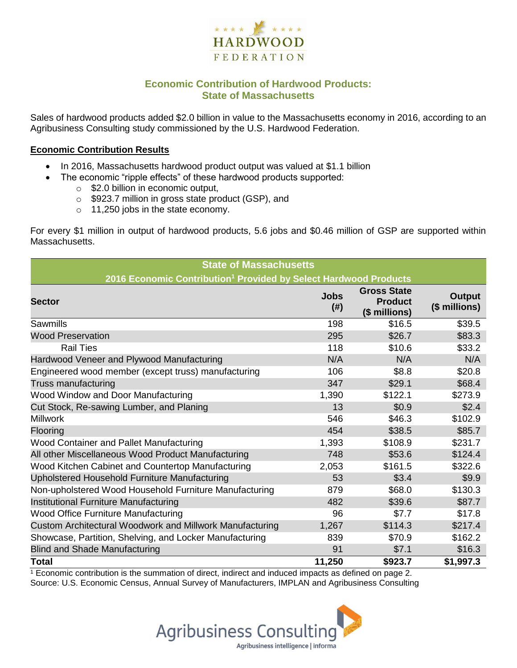

# **Economic Contribution of Hardwood Products: State of Massachusetts**

Sales of hardwood products added \$2.0 billion in value to the Massachusetts economy in 2016, according to an Agribusiness Consulting study commissioned by the U.S. Hardwood Federation.

#### **Economic Contribution Results**

- In 2016, Massachusetts hardwood product output was valued at \$1.1 billion
	- The economic "ripple effects" of these hardwood products supported:
		- o \$2.0 billion in economic output,
		- o \$923.7 million in gross state product (GSP), and
		- o 11,250 jobs in the state economy.

For every \$1 million in output of hardwood products, 5.6 jobs and \$0.46 million of GSP are supported within Massachusetts.

| <b>State of Massachusetts</b>                                                |                     |                                                       |                                |  |  |  |  |
|------------------------------------------------------------------------------|---------------------|-------------------------------------------------------|--------------------------------|--|--|--|--|
| 2016 Economic Contribution <sup>1</sup> Provided by Select Hardwood Products |                     |                                                       |                                |  |  |  |  |
| <b>Sector</b>                                                                | <b>Jobs</b><br>(# ) | <b>Gross State</b><br><b>Product</b><br>(\$ millions) | <b>Output</b><br>(\$ millions) |  |  |  |  |
| <b>Sawmills</b>                                                              | 198                 | \$16.5                                                | \$39.5                         |  |  |  |  |
| <b>Wood Preservation</b>                                                     | 295                 | \$26.7                                                | \$83.3                         |  |  |  |  |
| <b>Rail Ties</b>                                                             | 118                 | \$10.6                                                | \$33.2                         |  |  |  |  |
| Hardwood Veneer and Plywood Manufacturing                                    | N/A                 | N/A                                                   | N/A                            |  |  |  |  |
| Engineered wood member (except truss) manufacturing                          | 106                 | \$8.8                                                 | \$20.8                         |  |  |  |  |
| Truss manufacturing                                                          | 347                 | \$29.1                                                | \$68.4                         |  |  |  |  |
| Wood Window and Door Manufacturing                                           | 1,390               | \$122.1                                               | \$273.9                        |  |  |  |  |
| Cut Stock, Re-sawing Lumber, and Planing                                     | 13                  | \$0.9                                                 | \$2.4                          |  |  |  |  |
| <b>Millwork</b>                                                              | 546                 | \$46.3                                                | \$102.9                        |  |  |  |  |
| Flooring                                                                     | 454                 | \$38.5                                                | \$85.7                         |  |  |  |  |
| Wood Container and Pallet Manufacturing                                      | 1,393               | \$108.9                                               | \$231.7                        |  |  |  |  |
| All other Miscellaneous Wood Product Manufacturing                           | 748                 | \$53.6                                                | \$124.4                        |  |  |  |  |
| Wood Kitchen Cabinet and Countertop Manufacturing                            | 2,053               | \$161.5                                               | \$322.6                        |  |  |  |  |
| Upholstered Household Furniture Manufacturing                                | 53                  | \$3.4                                                 | \$9.9                          |  |  |  |  |
| Non-upholstered Wood Household Furniture Manufacturing                       | 879                 | \$68.0                                                | \$130.3                        |  |  |  |  |
| Institutional Furniture Manufacturing                                        | 482                 | \$39.6                                                | \$87.7                         |  |  |  |  |
| Wood Office Furniture Manufacturing                                          | 96                  | \$7.7                                                 | \$17.8                         |  |  |  |  |
| Custom Architectural Woodwork and Millwork Manufacturing                     | 1,267               | \$114.3                                               | \$217.4                        |  |  |  |  |
| Showcase, Partition, Shelving, and Locker Manufacturing                      | 839                 | \$70.9                                                | \$162.2                        |  |  |  |  |
| <b>Blind and Shade Manufacturing</b>                                         | 91                  | \$7.1                                                 | \$16.3                         |  |  |  |  |
| <b>Total</b>                                                                 | 11,250              | \$923.7                                               | \$1,997.3                      |  |  |  |  |

 $1$  Economic contribution is the summation of direct, indirect and induced impacts as defined on page 2. Source: U.S. Economic Census, Annual Survey of Manufacturers, IMPLAN and Agribusiness Consulting